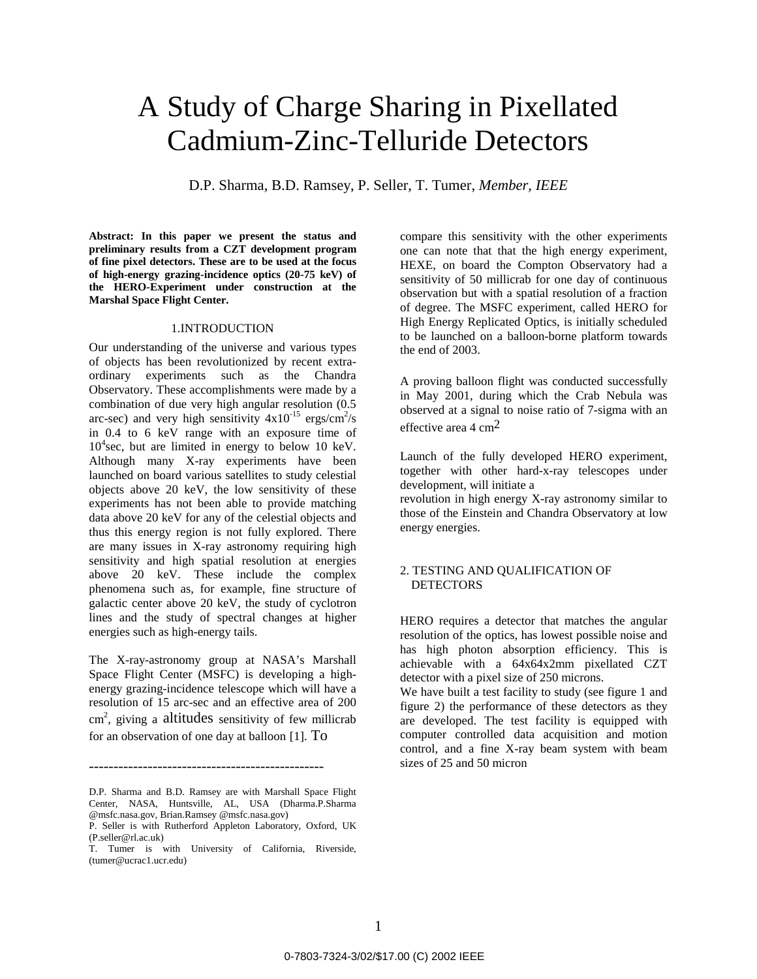# A Study of Charge Sharing in Pixellated Cadmium-Zinc-Telluride Detectors

D.P. Sharma, B.D. Ramsey, P. Seller, T. Tumer, *Member, IEEE* 

**Abstract: In this paper we present the status and preliminary results from a CZT development program of fine pixel detectors. These are to be used at the focus of high-energy grazing-incidence optics (20-75 keV) of the HERO-Experiment under construction at the Marshal Space Flight Center.** 

#### 1.INTRODUCTION

Our understanding of the universe and various types of objects has been revolutionized by recent extraordinary experiments such as the Chandra Observatory. These accomplishments were made by a combination of due very high angular resolution (0.5 arc-sec) and very high sensitivity  $4x10^{-15}$  ergs/cm<sup>2</sup>/s in 0.4 to 6 keV range with an exposure time of 10<sup>4</sup> sec, but are limited in energy to below 10 keV. Although many X-ray experiments have been launched on board various satellites to study celestial objects above 20 keV, the low sensitivity of these experiments has not been able to provide matching data above 20 keV for any of the celestial objects and thus this energy region is not fully explored. There are many issues in X-ray astronomy requiring high sensitivity and high spatial resolution at energies above 20 keV. These include the complex phenomena such as, for example, fine structure of galactic center above 20 keV, the study of cyclotron lines and the study of spectral changes at higher energies such as high-energy tails.

The X-ray-astronomy group at NASA's Marshall Space Flight Center (MSFC) is developing a highenergy grazing-incidence telescope which will have a resolution of 15 arc-sec and an effective area of 200 cm2 , giving a altitudes sensitivity of few millicrab for an observation of one day at balloon [1]. To

D.P. Sharma and B.D. Ramsey are with Marshall Space Flight Center, NASA, Huntsville, AL, USA (Dharma.P.Sharma @msfc.nasa.gov, Brian.Ramsey @msfc.nasa.gov)

------------------------------------------------

compare this sensitivity with the other experiments one can note that that the high energy experiment, HEXE, on board the Compton Observatory had a sensitivity of 50 millicrab for one day of continuous observation but with a spatial resolution of a fraction of degree. The MSFC experiment, called HERO for High Energy Replicated Optics, is initially scheduled to be launched on a balloon-borne platform towards the end of 2003.

A proving balloon flight was conducted successfully in May 2001, during which the Crab Nebula was observed at a signal to noise ratio of 7-sigma with an effective area 4  $\text{cm}^2$ 

Launch of the fully developed HERO experiment, together with other hard-x-ray telescopes under development, will initiate a

revolution in high energy X-ray astronomy similar to those of the Einstein and Chandra Observatory at low energy energies.

## 2. TESTING AND QUALIFICATION OF **DETECTORS**

HERO requires a detector that matches the angular resolution of the optics, has lowest possible noise and has high photon absorption efficiency. This is achievable with a 64x64x2mm pixellated CZT detector with a pixel size of 250 microns.

We have built a test facility to study (see figure 1 and figure 2) the performance of these detectors as they are developed. The test facility is equipped with computer controlled data acquisition and motion control, and a fine X-ray beam system with beam sizes of 25 and 50 micron

P. Seller is with Rutherford Appleton Laboratory, Oxford, UK (P.seller@rl.ac.uk)

[T. Tumer is](mailto:dharma.p.Sharma@msfc.nasa.gov) with University of Calif[ornia, Riverside,](mailto:dharma.p.Sharma@msfc.nasa.gov)  (tumer@ucrac1.ucr.edu)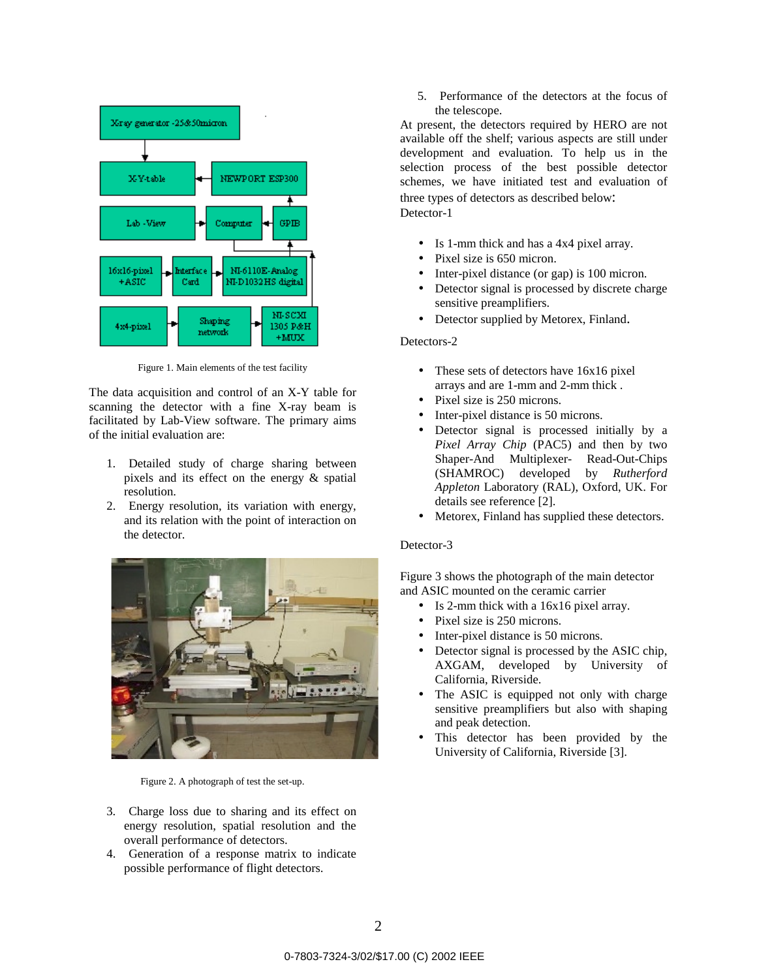

Figure 1. Main elements of the test facility

The data acquisition and control of an X-Y table for scanning the detector with a fine X-ray beam is facilitated by Lab-View software. The primary aims of the initial evaluation are:

- 1. Detailed study of charge sharing between pixels and its effect on the energy & spatial resolution.
- 2. Energy resolution, its variation with energy, and its relation with the point of interaction on the detector.



Figure 2. A photograph of test the set-up.

- 3. Charge loss due to sharing and its effect on energy resolution, spatial resolution and the overall performance of detectors.
- 4. Generation of a response matrix to indicate possible performance of flight detectors.

5. Performance of the detectors at the focus of the telescope.

At present, the detectors required by HERO are not available off the shelf; various aspects are still under development and evaluation. To help us in the selection process of the best possible detector schemes, we have initiated test and evaluation of three types of detectors as described below: Detector-1

- Is 1-mm thick and has a 4x4 pixel array.
- Pixel size is 650 micron.
- Inter-pixel distance (or gap) is 100 micron.
- Detector signal is processed by discrete charge sensitive preamplifiers.
- Detector supplied by Metorex, Finland.

### Detectors-2

- These sets of detectors have 16x16 pixel arrays and are 1-mm and 2-mm thick .
- Pixel size is 250 microns.
- Inter-pixel distance is 50 microns.
- Detector signal is processed initially by a *Pixel Array Chip* (PAC5) and then by two Shaper-And Multiplexer- Read-Out-Chips (SHAMROC) developed by *Rutherford Appleton* Laboratory (RAL), Oxford, UK. For details see reference [2].
- Metorex, Finland has supplied these detectors.

#### Detector-3

Figure 3 shows the photograph of the main detector and ASIC mounted on the ceramic carrier

- Is 2-mm thick with a 16x16 pixel array.
- Pixel size is 250 microns.
- Inter-pixel distance is 50 microns.
- Detector signal is processed by the ASIC chip, AXGAM, developed by University of California, Riverside.
- The ASIC is equipped not only with charge sensitive preamplifiers but also with shaping and peak detection.
- This detector has been provided by the University of California, Riverside [3].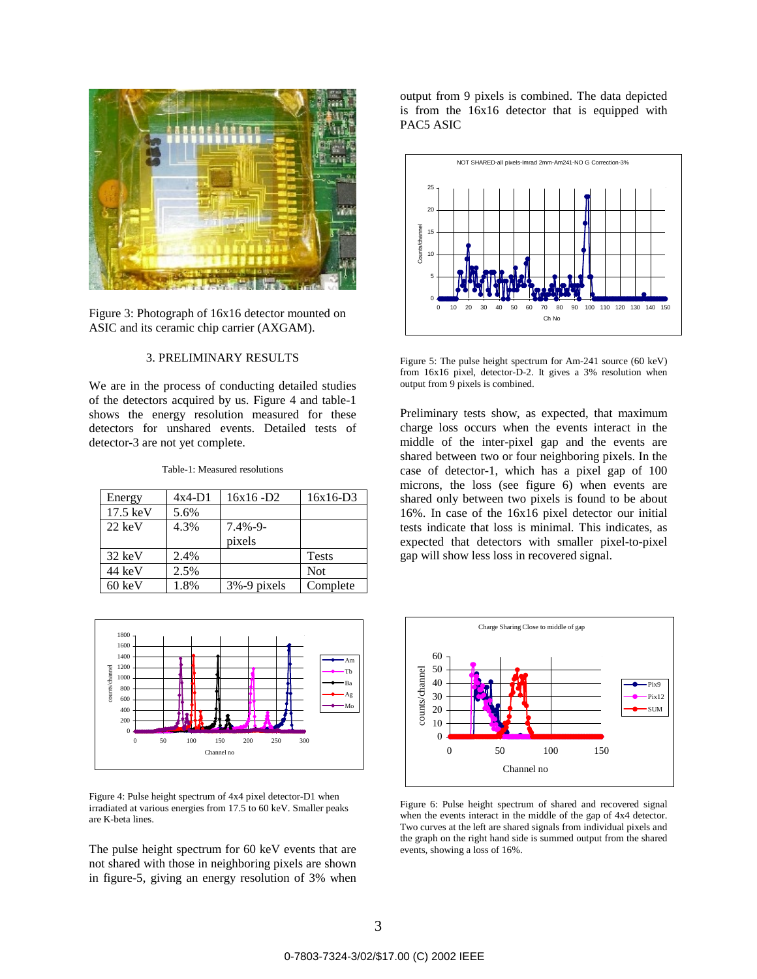

Figure 3: Photograph of 16x16 detector mounted on ASIC and its ceramic chip carrier (AXGAM).

## 3. PRELIMINARY RESULTS

We are in the process of conducting detailed studies of the detectors acquired by us. Figure 4 and table-1 shows the energy resolution measured for these detectors for unshared events. Detailed tests of detector-3 are not yet complete.

Table-1: Measured resolutions

| Energy             | $4x4-D1$ | $16x16 - D2$ | 16x16-D3     |
|--------------------|----------|--------------|--------------|
| $17.5 \text{ keV}$ | 5.6%     |              |              |
| $22 \text{ keV}$   | 4.3%     | $7.4\% - 9$  |              |
|                    |          | pixels       |              |
| $32 \text{ keV}$   | 2.4%     |              | <b>Tests</b> |
| 44 keV             | 2.5%     |              | <b>Not</b>   |
| $60 \text{ keV}$   | 1.8%     | 3%-9 pixels  | Complete     |

1800 1600 1400 Am 1200 counts/channel counts/channel Tb 1000 Ba 800 Ag 600 Mo



Figure 4: Pulse height spectrum of 4x4 pixel detector-D1 when irradiated at various energies from 17.5 to 60 keV. Smaller peaks are K-beta lines.

The pulse height spectrum for 60 keV events that are not shared with those in neighboring pixels are shown in figure-5, giving an energy resolution of 3% when output from 9 pixels is combined. The data depicted is from the 16x16 detector that is equipped with PAC5 ASIC



Figure 5: The pulse height spectrum for Am-241 source (60 keV) from 16x16 pixel, detector-D-2. It gives a 3% resolution when output from 9 pixels is combined.

Preliminary tests show, as expected, that maximum charge loss occurs when the events interact in the middle of the inter-pixel gap and the events are shared between two or four neighboring pixels. In the case of detector-1, which has a pixel gap of 100 microns, the loss (see figure 6) when events are shared only between two pixels is found to be about 16%. In case of the 16x16 pixel detector our initial tests indicate that loss is minimal. This indicates, as expected that detectors with smaller pixel-to-pixel gap will show less loss in recovered signal.



Figure 6: Pulse height spectrum of shared and recovered signal when the events interact in the middle of the gap of 4x4 detector. Two curves at the left are shared signals from individual pixels and the graph on the right hand side is summed output from the shared events, showing a loss of 16%.